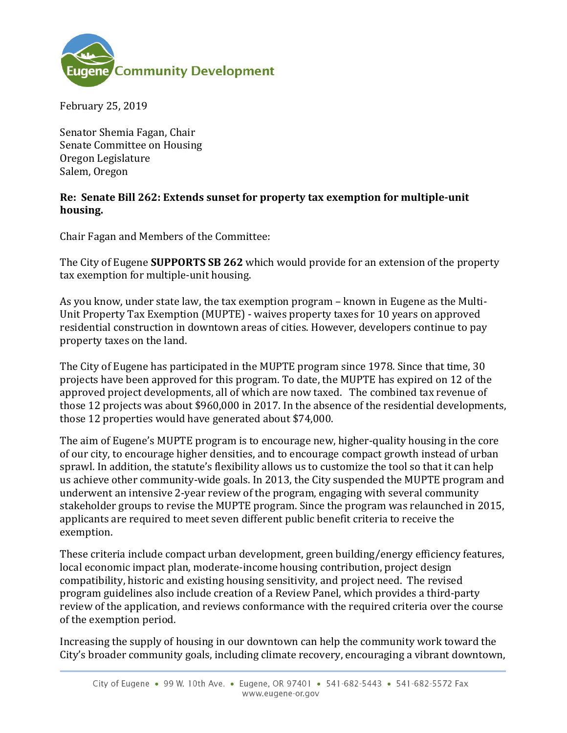

February 25, 2019

Senator Shemia Fagan, Chair Senate Committee on Housing Oregon Legislature Salem, Oregon

## **Re: Senate Bill 262: Extends sunset for property tax exemption for multiple-unit housing.**

Chair Fagan and Members of the Committee:

The City of Eugene **SUPPORTS SB 262** which would provide for an extension of the property tax exemption for multiple-unit housing.

As you know, under state law, the tax exemption program – known in Eugene as the Multi-Unit Property Tax Exemption (MUPTE) - waives property taxes for 10 years on approved residential construction in downtown areas of cities. However, developers continue to pay property taxes on the land.

The City of Eugene has participated in the MUPTE program since 1978. Since that time, 30 projects have been approved for this program. To date, the MUPTE has expired on 12 of the approved project developments, all of which are now taxed. The combined tax revenue of those 12 projects was about \$960,000 in 2017. In the absence of the residential developments, those 12 properties would have generated about \$74,000.

The aim of Eugene's MUPTE program is to encourage new, higher-quality housing in the core of our city, to encourage higher densities, and to encourage compact growth instead of urban sprawl. In addition, the statute's flexibility allows us to customize the tool so that it can help us achieve other community-wide goals. In 2013, the City suspended the MUPTE program and underwent an intensive 2-year review of the program, engaging with several community stakeholder groups to revise the MUPTE program. Since the program was relaunched in 2015, applicants are required to meet seven different public benefit criteria to receive the exemption.

These criteria include compact urban development, green building/energy efficiency features, local economic impact plan, moderate-income housing contribution, project design compatibility, historic and existing housing sensitivity, and project need. The revised program guidelines also include creation of a Review Panel, which provides a third-party review of the application, and reviews conformance with the required criteria over the course of the exemption period.

Increasing the supply of housing in our downtown can help the community work toward the City's broader community goals, including climate recovery, encouraging a vibrant downtown,